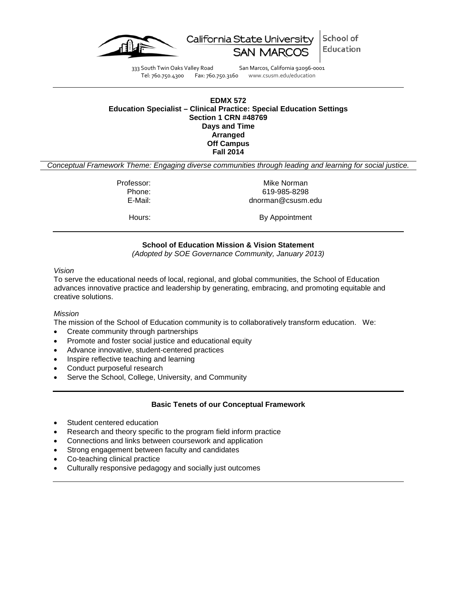

School of California State University Education

333 South Twin Oaks Valley Road San Marcos, California 92096-0001<br>Tel: 760.750.4300 Fax: 760.750.3160 www.csusm.edu/education

Fax: 760.750.3160 www.csusm.edu/education

### <span id="page-0-0"></span>**EDMX 572 Education Specialist – Clinical Practice: Special Education Settings Section 1 CRN #48769 Days and Time Arranged Off Campus Fall 2014**

*Conceptual Framework Theme: Engaging diverse communities through leading and learning for social justice.*

Professor: Mike Norman

Phone: 619-985-8298 E-Mail: dnorman@csusm.edu

Hours: By Appointment

# **School of Education Mission & Vision Statement**

*(Adopted by SOE Governance Community, January 2013)*

<span id="page-0-1"></span>*Vision*

To serve the educational needs of local, regional, and global communities, the School of Education advances innovative practice and leadership by generating, embracing, and promoting equitable and creative solutions.

#### *Mission*

The mission of the School of Education community is to collaboratively transform education. We:

- Create community through partnerships
- Promote and foster social justice and educational equity
- Advance innovative, student-centered practices
- Inspire reflective teaching and learning
- Conduct purposeful research
- Serve the School, College, University, and Community

#### **Basic Tenets of our Conceptual Framework**

- <span id="page-0-2"></span>Student centered education
- Research and theory specific to the program field inform practice
- Connections and links between coursework and application
- Strong engagement between faculty and candidates
- Co-teaching clinical practice
- Culturally responsive pedagogy and socially just outcomes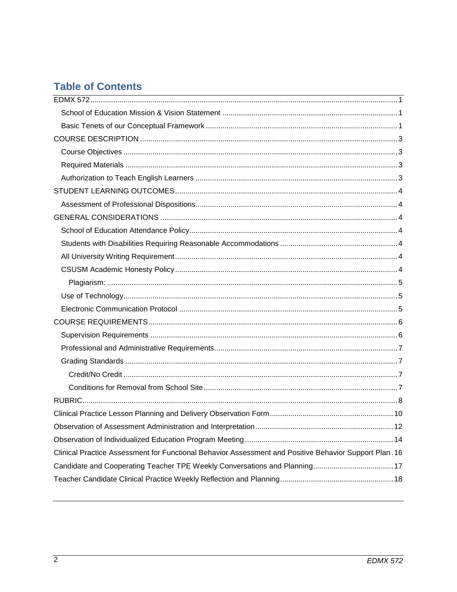# **Table of Contents**

| Clinical Practice Assessment for Functional Behavior Assessment and Positive Behavior Support Plan. 16 |
|--------------------------------------------------------------------------------------------------------|
|                                                                                                        |
|                                                                                                        |
|                                                                                                        |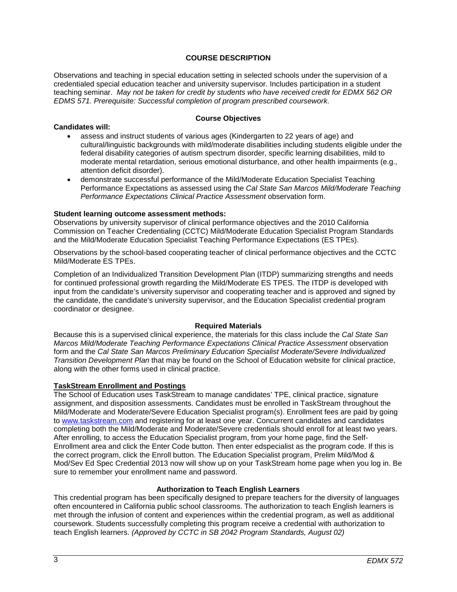# **COURSE DESCRIPTION**

<span id="page-2-0"></span>Observations and teaching in special education setting in selected schools under the supervision of a credentialed special education teacher and university supervisor. Includes participation in a student teaching seminar. *May not be taken for credit by students who have received credit for EDMX 562 OR EDMS 571. Prerequisite: Successful completion of program prescribed coursework.* 

#### <span id="page-2-1"></span>**Candidates will:**

#### **Course Objectives**

- assess and instruct students of various ages (Kindergarten to 22 years of age) and cultural/linguistic backgrounds with mild/moderate disabilities including students eligible under the federal disability categories of autism spectrum disorder, specific learning disabilities, mild to moderate mental retardation, serious emotional disturbance, and other health impairments (e.g., attention deficit disorder).
- demonstrate successful performance of the Mild/Moderate Education Specialist Teaching Performance Expectations as assessed using the *Cal State San Marcos Mild/Moderate Teaching Performance Expectations Clinical Practice Assessment* observation form.

#### **Student learning outcome assessment methods:**

Observations by university supervisor of clinical performance objectives and the 2010 California Commission on Teacher Credentialing (CCTC) Mild/Moderate Education Specialist Program Standards and the Mild/Moderate Education Specialist Teaching Performance Expectations (ES TPEs).

Observations by the school-based cooperating teacher of clinical performance objectives and the CCTC Mild/Moderate ES TPEs.

Completion of an Individualized Transition Development Plan (ITDP) summarizing strengths and needs for continued professional growth regarding the Mild/Moderate ES TPES. The ITDP is developed with input from the candidate's university supervisor and cooperating teacher and is approved and signed by the candidate, the candidate's university supervisor, and the Education Specialist credential program coordinator or designee.

#### **Required Materials**

<span id="page-2-2"></span>Because this is a supervised clinical experience, the materials for this class include the *Cal State San Marcos Mild/Moderate Teaching Performance Expectations Clinical Practice Assessment* observation form and the *Cal State San Marcos Preliminary Education Specialist Moderate/Severe Individualized Transition Development Plan* that may be found on the School of Education website for clinical practice, along with the other forms used in clinical practice.

#### **TaskStream Enrollment and Postings**

The School of Education uses TaskStream to manage candidates' TPE, clinical practice, signature assignment, and disposition assessments. Candidates must be enrolled in TaskStream throughout the Mild/Moderate and Moderate/Severe Education Specialist program(s). Enrollment fees are paid by going to [www.taskstream.com](http://www.taskstrem.com/) and registering for at least one year. Concurrent candidates and candidates completing both the Mild/Moderate and Moderate/Severe credentials should enroll for at least two years. After enrolling, to access the Education Specialist program, from your home page, find the Self-Enrollment area and click the Enter Code button. Then enter edspecialist as the program code. If this is the correct program, click the Enroll button. The Education Specialist program, Prelim Mild/Mod & Mod/Sev Ed Spec Credential 2013 now will show up on your TaskStream home page when you log in. Be sure to remember your enrollment name and password.

# **Authorization to Teach English Learners**

<span id="page-2-3"></span>This credential program has been specifically designed to prepare teachers for the diversity of languages often encountered in California public school classrooms. The authorization to teach English learners is met through the infusion of content and experiences within the credential program, as well as additional coursework. Students successfully completing this program receive a credential with authorization to teach English learners. *(Approved by CCTC in SB 2042 Program Standards, August 02)*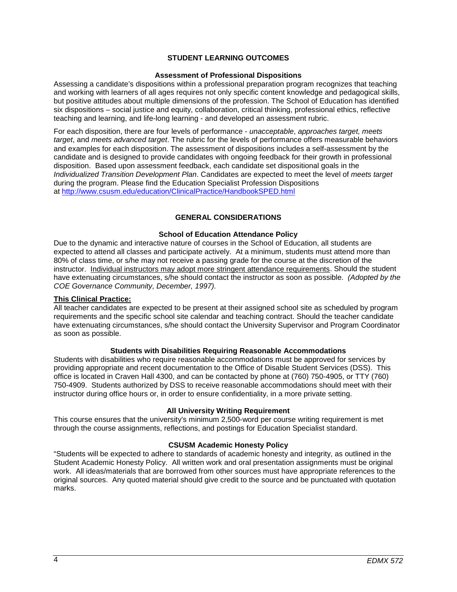# **STUDENT LEARNING OUTCOMES**

#### **Assessment of Professional Dispositions**

<span id="page-3-1"></span><span id="page-3-0"></span>Assessing a candidate's dispositions within a professional preparation program recognizes that teaching and working with learners of all ages requires not only specific content knowledge and pedagogical skills, but positive attitudes about multiple dimensions of the profession. The School of Education has identified six dispositions – social justice and equity, collaboration, critical thinking, professional ethics, reflective teaching and learning, and life-long learning - and developed an assessment rubric.

For each disposition, there are four levels of performance - *unacceptable*, *approaches target, meets target*, and *meets advanced target*. The rubric for the levels of performance offers measurable behaviors and examples for each disposition. The assessment of dispositions includes a self-assessment by the candidate and is designed to provide candidates with ongoing feedback for their growth in professional disposition. Based upon assessment feedback, each candidate set dispositional goals in the *Individualized Transition Development Plan*. Candidates are expected to meet the level of *meets target* during the program. Please find the Education Specialist Profession Dispositions at<http://www.csusm.edu/education/ClinicalPractice/HandbookSPED.html>

#### **GENERAL CONSIDERATIONS**

#### **School of Education Attendance Policy**

<span id="page-3-3"></span><span id="page-3-2"></span>Due to the dynamic and interactive nature of courses in the School of Education, all students are expected to attend all classes and participate actively. At a minimum, students must attend more than 80% of class time, or s/he may not receive a passing grade for the course at the discretion of the instructor. Individual instructors may adopt more stringent attendance requirements. Should the student have extenuating circumstances, s/he should contact the instructor as soon as possible. *(Adopted by the COE Governance Community, December, 1997).*

#### **This Clinical Practice:**

All teacher candidates are expected to be present at their assigned school site as scheduled by program requirements and the specific school site calendar and teaching contract. Should the teacher candidate have extenuating circumstances, s/he should contact the University Supervisor and Program Coordinator as soon as possible.

#### **Students with Disabilities Requiring Reasonable Accommodations**

<span id="page-3-4"></span>Students with disabilities who require reasonable accommodations must be approved for services by providing appropriate and recent documentation to the Office of Disable Student Services (DSS). This office is located in Craven Hall 4300, and can be contacted by phone at (760) 750-4905, or TTY (760) 750-4909. Students authorized by DSS to receive reasonable accommodations should meet with their instructor during office hours or, in order to ensure confidentiality, in a more private setting.

#### **All University Writing Requirement**

<span id="page-3-5"></span>This course ensures that the university's minimum 2,500-word per course writing requirement is met through the course assignments, reflections, and postings for Education Specialist standard.

#### **CSUSM Academic Honesty Policy**

<span id="page-3-6"></span>"Students will be expected to adhere to standards of academic honesty and integrity, as outlined in the Student Academic Honesty Policy. All written work and oral presentation assignments must be original work. All ideas/materials that are borrowed from other sources must have appropriate references to the original sources. Any quoted material should give credit to the source and be punctuated with quotation marks.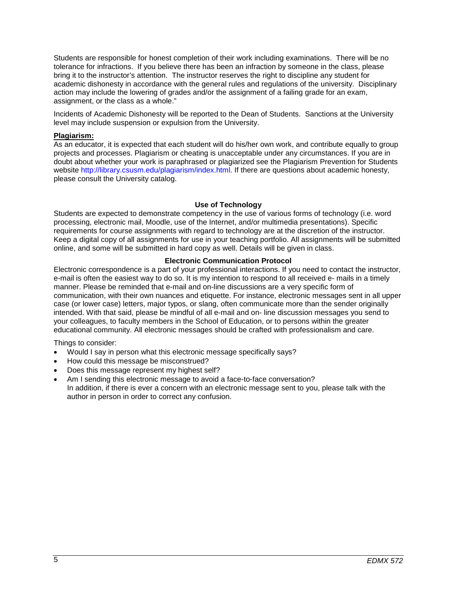Students are responsible for honest completion of their work including examinations. There will be no tolerance for infractions. If you believe there has been an infraction by someone in the class, please bring it to the instructor's attention. The instructor reserves the right to discipline any student for academic dishonesty in accordance with the general rules and regulations of the university. Disciplinary action may include the lowering of grades and/or the assignment of a failing grade for an exam, assignment, or the class as a whole."

Incidents of Academic Dishonesty will be reported to the Dean of Students. Sanctions at the University level may include suspension or expulsion from the University.

#### <span id="page-4-0"></span>**Plagiarism:**

As an educator, it is expected that each student will do his/her own work, and contribute equally to group projects and processes. Plagiarism or cheating is unacceptable under any circumstances. If you are in doubt about whether your work is paraphrased or plagiarized see the Plagiarism Prevention for Students website http://library.csusm.edu/plagiarism/index.html. If there are questions about academic honesty, please consult the University catalog.

#### **Use of Technology**

<span id="page-4-1"></span>Students are expected to demonstrate competency in the use of various forms of technology (i.e. word processing, electronic mail, Moodle, use of the Internet, and/or multimedia presentations). Specific requirements for course assignments with regard to technology are at the discretion of the instructor. Keep a digital copy of all assignments for use in your teaching portfolio. All assignments will be submitted online, and some will be submitted in hard copy as well. Details will be given in class.

#### **Electronic Communication Protocol**

<span id="page-4-2"></span>Electronic correspondence is a part of your professional interactions. If you need to contact the instructor, e-mail is often the easiest way to do so. It is my intention to respond to all received e- mails in a timely manner. Please be reminded that e-mail and on-line discussions are a very specific form of communication, with their own nuances and etiquette. For instance, electronic messages sent in all upper case (or lower case) letters, major typos, or slang, often communicate more than the sender originally intended. With that said, please be mindful of all e-mail and on- line discussion messages you send to your colleagues, to faculty members in the School of Education, or to persons within the greater educational community. All electronic messages should be crafted with professionalism and care.

Things to consider:

- Would I say in person what this electronic message specifically says?
- How could this message be misconstrued?
- Does this message represent my highest self?
- Am I sending this electronic message to avoid a face-to-face conversation? In addition, if there is ever a concern with an electronic message sent to you, please talk with the author in person in order to correct any confusion.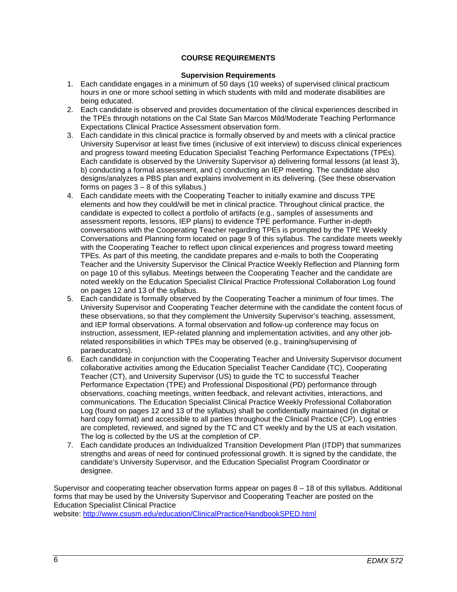# **COURSE REQUIREMENTS**

#### **Supervision Requirements**

- <span id="page-5-1"></span><span id="page-5-0"></span>1. Each candidate engages in a minimum of 50 days (10 weeks) of supervised clinical practicum hours in one or more school setting in which students with mild and moderate disabilities are being educated.
- 2. Each candidate is observed and provides documentation of the clinical experiences described in the TPEs through notations on the Cal State San Marcos Mild/Moderate Teaching Performance Expectations Clinical Practice Assessment observation form.
- 3. Each candidate in this clinical practice is formally observed by and meets with a clinical practice University Supervisor at least five times (inclusive of exit interview) to discuss clinical experiences and progress toward meeting Education Specialist Teaching Performance Expectations (TPEs). Each candidate is observed by the University Supervisor a) delivering formal lessons (at least 3), b) conducting a formal assessment, and c) conducting an IEP meeting. The candidate also designs/analyzes a PBS plan and explains involvement in its delivering. (See these observation forms on pages  $3 - 8$  of this syllabus.)
- 4. Each candidate meets with the Cooperating Teacher to initially examine and discuss TPE elements and how they could/will be met in clinical practice. Throughout clinical practice, the candidate is expected to collect a portfolio of artifacts (e.g., samples of assessments and assessment reports, lessons, IEP plans) to evidence TPE performance. Further in-depth conversations with the Cooperating Teacher regarding TPEs is prompted by the TPE Weekly Conversations and Planning form located on page 9 of this syllabus. The candidate meets weekly with the Cooperating Teacher to reflect upon clinical experiences and progress toward meeting TPEs. As part of this meeting, the candidate prepares and e-mails to both the Cooperating Teacher and the University Supervisor the Clinical Practice Weekly Reflection and Planning form on page 10 of this syllabus. Meetings between the Cooperating Teacher and the candidate are noted weekly on the Education Specialist Clinical Practice Professional Collaboration Log found on pages 12 and 13 of the syllabus.
- 5. Each candidate is formally observed by the Cooperating Teacher a minimum of four times. The University Supervisor and Cooperating Teacher determine with the candidate the content focus of these observations, so that they complement the University Supervisor's teaching, assessment, and IEP formal observations. A formal observation and follow-up conference may focus on instruction, assessment, IEP-related planning and implementation activities, and any other jobrelated responsibilities in which TPEs may be observed (e.g., training/supervising of paraeducators).
- 6. Each candidate in conjunction with the Cooperating Teacher and University Supervisor document collaborative activities among the Education Specialist Teacher Candidate (TC), Cooperating Teacher (CT), and University Supervisor (US) to guide the TC to successful Teacher Performance Expectation (TPE) and Professional Dispositional (PD) performance through observations, coaching meetings, written feedback, and relevant activities, interactions, and communications. The Education Specialist Clinical Practice Weekly Professional Collaboration Log (found on pages 12 and 13 of the syllabus) shall be confidentially maintained (in digital or hard copy format) and accessible to all parties throughout the Clinical Practice (CP). Log entries are completed, reviewed, and signed by the TC and CT weekly and by the US at each visitation. The log is collected by the US at the completion of CP.
- 7. Each candidate produces an Individualized Transition Development Plan (ITDP) that summarizes strengths and areas of need for continued professional growth. It is signed by the candidate, the candidate's University Supervisor, and the Education Specialist Program Coordinator or designee.

Supervisor and cooperating teacher observation forms appear on pages  $8 - 18$  of this syllabus. Additional forms that may be used by the University Supervisor and Cooperating Teacher are posted on the Education Specialist Clinical Practice

website:<http://www.csusm.edu/education/ClinicalPractice/HandbookSPED.html>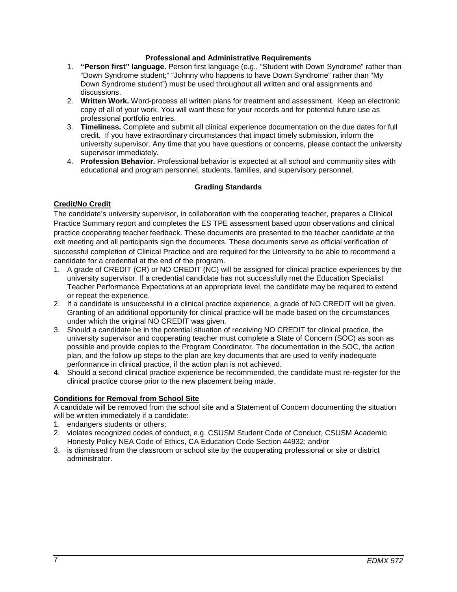#### **Professional and Administrative Requirements**

- <span id="page-6-0"></span>1. **"Person first" language.** Person first language (e.g., "Student with Down Syndrome" rather than "Down Syndrome student;" "Johnny who happens to have Down Syndrome" rather than "My Down Syndrome student") must be used throughout all written and oral assignments and discussions.
- 2. **Written Work.** Word-process all written plans for treatment and assessment. Keep an electronic copy of all of your work. You will want these for your records and for potential future use as professional portfolio entries.
- 3. **Timeliness.** Complete and submit all clinical experience documentation on the due dates for full credit. If you have extraordinary circumstances that impact timely submission, inform the university supervisor. Any time that you have questions or concerns, please contact the university supervisor immediately.
- 4. **Profession Behavior.** Professional behavior is expected at all school and community sites with educational and program personnel, students, families, and supervisory personnel.

# **Grading Standards**

# <span id="page-6-2"></span><span id="page-6-1"></span>**Credit/No Credit**

The candidate's university supervisor, in collaboration with the cooperating teacher, prepares a Clinical Practice Summary report and completes the ES TPE assessment based upon observations and clinical practice cooperating teacher feedback. These documents are presented to the teacher candidate at the exit meeting and all participants sign the documents. These documents serve as official verification of successful completion of Clinical Practice and are required for the University to be able to recommend a candidate for a credential at the end of the program.

- 1. A grade of CREDIT (CR) or NO CREDIT (NC) will be assigned for clinical practice experiences by the university supervisor. If a credential candidate has not successfully met the Education Specialist Teacher Performance Expectations at an appropriate level, the candidate may be required to extend or repeat the experience.
- 2. If a candidate is unsuccessful in a clinical practice experience, a grade of NO CREDIT will be given. Granting of an additional opportunity for clinical practice will be made based on the circumstances under which the original NO CREDIT was given.
- 3. Should a candidate be in the potential situation of receiving NO CREDIT for clinical practice, the university supervisor and cooperating teacher must complete a State of Concern (SOC) as soon as possible and provide copies to the Program Coordinator. The documentation in the SOC, the action plan, and the follow up steps to the plan are key documents that are used to verify inadequate performance in clinical practice, if the action plan is not achieved.
- 4. Should a second clinical practice experience be recommended, the candidate must re-register for the clinical practice course prior to the new placement being made.

# <span id="page-6-3"></span>**Conditions for Removal from School Site**

A candidate will be removed from the school site and a Statement of Concern documenting the situation will be written immediately if a candidate:

- 1. endangers students or others;
- 2. violates recognized codes of conduct, e.g. CSUSM Student Code of Conduct, CSUSM Academic Honesty Policy NEA Code of Ethics, CA Education Code Section 44932; and/or
- 3. is dismissed from the classroom or school site by the cooperating professional or site or district administrator.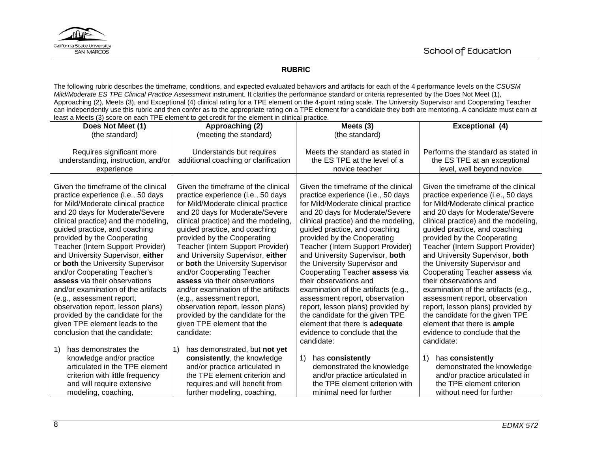

# **RUBRIC**

The following rubric describes the timeframe, conditions, and expected evaluated behaviors and artifacts for each of the 4 performance levels on the *CSUSM Mild/Moderate ES TPE Clinical Practice Assessment* instrument. It clarifies the performance standard or criteria represented by the Does Not Meet (1), Approaching (2), Meets (3), and Exceptional (4) clinical rating for a TPE element on the 4-point rating scale. The University Supervisor and Cooperating Teacher can independently use this rubric and then confer as to the appropriate rating on a TPE element for a candidate they both are mentoring. A candidate must earn at least a Meets (3) score on each TPE element to get credit for the element in clinical practice.

<span id="page-7-0"></span>

| Does Not Meet (1)                                                                                                                                                                                                                                                                                                                                                                                                                                                                                                                                                                                                                                             | Approaching (2)                                                                                                                                                                                                                                                                                                                                                                                                                                                                                                                                                                                                                     | Meets $(3)$                                                                                                                                                                                                                                                                                                                                                                                                                                                                                                                                                                                                                                                        | <b>Exceptional (4)</b>                                                                                                                                                                                                                                                                                                                                                                                                                                                                                                                                                                                                                                          |
|---------------------------------------------------------------------------------------------------------------------------------------------------------------------------------------------------------------------------------------------------------------------------------------------------------------------------------------------------------------------------------------------------------------------------------------------------------------------------------------------------------------------------------------------------------------------------------------------------------------------------------------------------------------|-------------------------------------------------------------------------------------------------------------------------------------------------------------------------------------------------------------------------------------------------------------------------------------------------------------------------------------------------------------------------------------------------------------------------------------------------------------------------------------------------------------------------------------------------------------------------------------------------------------------------------------|--------------------------------------------------------------------------------------------------------------------------------------------------------------------------------------------------------------------------------------------------------------------------------------------------------------------------------------------------------------------------------------------------------------------------------------------------------------------------------------------------------------------------------------------------------------------------------------------------------------------------------------------------------------------|-----------------------------------------------------------------------------------------------------------------------------------------------------------------------------------------------------------------------------------------------------------------------------------------------------------------------------------------------------------------------------------------------------------------------------------------------------------------------------------------------------------------------------------------------------------------------------------------------------------------------------------------------------------------|
| (the standard)                                                                                                                                                                                                                                                                                                                                                                                                                                                                                                                                                                                                                                                | (meeting the standard)                                                                                                                                                                                                                                                                                                                                                                                                                                                                                                                                                                                                              | (the standard)                                                                                                                                                                                                                                                                                                                                                                                                                                                                                                                                                                                                                                                     |                                                                                                                                                                                                                                                                                                                                                                                                                                                                                                                                                                                                                                                                 |
| Requires significant more<br>understanding, instruction, and/or<br>experience                                                                                                                                                                                                                                                                                                                                                                                                                                                                                                                                                                                 | Understands but requires<br>additional coaching or clarification                                                                                                                                                                                                                                                                                                                                                                                                                                                                                                                                                                    | Meets the standard as stated in<br>the ES TPE at the level of a<br>novice teacher                                                                                                                                                                                                                                                                                                                                                                                                                                                                                                                                                                                  | Performs the standard as stated in<br>the ES TPE at an exceptional<br>level, well beyond novice                                                                                                                                                                                                                                                                                                                                                                                                                                                                                                                                                                 |
| Given the timeframe of the clinical<br>practice experience (i.e., 50 days<br>for Mild/Moderate clinical practice<br>and 20 days for Moderate/Severe<br>clinical practice) and the modeling,<br>guided practice, and coaching<br>provided by the Cooperating<br>Teacher (Intern Support Provider)<br>and University Supervisor, either<br>or both the University Supervisor<br>and/or Cooperating Teacher's<br>assess via their observations<br>and/or examination of the artifacts<br>(e.g., assessment report,<br>observation report, lesson plans)<br>provided by the candidate for the<br>given TPE element leads to the<br>conclusion that the candidate: | Given the timeframe of the clinical<br>practice experience (i.e., 50 days<br>for Mild/Moderate clinical practice<br>and 20 days for Moderate/Severe<br>clinical practice) and the modeling,<br>guided practice, and coaching<br>provided by the Cooperating<br>Teacher (Intern Support Provider)<br>and University Supervisor, either<br>or both the University Supervisor<br>and/or Cooperating Teacher<br>assess via their observations<br>and/or examination of the artifacts<br>(e.g., assessment report,<br>observation report, lesson plans)<br>provided by the candidate for the<br>given TPE element that the<br>candidate: | Given the timeframe of the clinical<br>practice experience (i.e., 50 days<br>for Mild/Moderate clinical practice<br>and 20 days for Moderate/Severe<br>clinical practice) and the modeling,<br>guided practice, and coaching<br>provided by the Cooperating<br>Teacher (Intern Support Provider)<br>and University Supervisor, both<br>the University Supervisor and<br>Cooperating Teacher assess via<br>their observations and<br>examination of the artifacts (e.g.,<br>assessment report, observation<br>report, lesson plans) provided by<br>the candidate for the given TPE<br>element that there is adequate<br>evidence to conclude that the<br>candidate: | Given the timeframe of the clinical<br>practice experience (i.e., 50 days<br>for Mild/Moderate clinical practice<br>and 20 days for Moderate/Severe<br>clinical practice) and the modeling,<br>guided practice, and coaching<br>provided by the Cooperating<br>Teacher (Intern Support Provider)<br>and University Supervisor, both<br>the University Supervisor and<br>Cooperating Teacher assess via<br>their observations and<br>examination of the artifacts (e.g.,<br>assessment report, observation<br>report, lesson plans) provided by<br>the candidate for the given TPE<br>element that there is ample<br>evidence to conclude that the<br>candidate: |
| 1)<br>has demonstrates the<br>knowledge and/or practice<br>articulated in the TPE element<br>criterion with little frequency<br>and will require extensive<br>modeling, coaching,                                                                                                                                                                                                                                                                                                                                                                                                                                                                             | has demonstrated, but not yet<br>consistently, the knowledge<br>and/or practice articulated in<br>the TPE element criterion and<br>requires and will benefit from<br>further modeling, coaching,                                                                                                                                                                                                                                                                                                                                                                                                                                    | 1)<br>has consistently<br>demonstrated the knowledge<br>and/or practice articulated in<br>the TPE element criterion with<br>minimal need for further                                                                                                                                                                                                                                                                                                                                                                                                                                                                                                               | has consistently<br>1)<br>demonstrated the knowledge<br>and/or practice articulated in<br>the TPE element criterion<br>without need for further                                                                                                                                                                                                                                                                                                                                                                                                                                                                                                                 |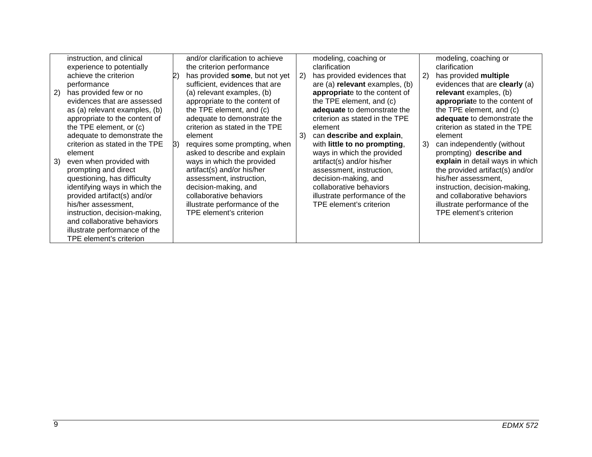|    | instruction, and clinical<br>experience to potentially<br>achieve the criterion                                                                                                                                                                                                                                                                |    | and/or clarification to achieve<br>the criterion performance<br>has provided some, but not yet                                                                                                                                                                        | 2) | modeling, coaching or<br>clarification<br>has provided evidences that                                                                                                                                                               | 2) | modeling, coaching or<br>clarification<br>has provided multiple                                                                                                                                                                                                                |
|----|------------------------------------------------------------------------------------------------------------------------------------------------------------------------------------------------------------------------------------------------------------------------------------------------------------------------------------------------|----|-----------------------------------------------------------------------------------------------------------------------------------------------------------------------------------------------------------------------------------------------------------------------|----|-------------------------------------------------------------------------------------------------------------------------------------------------------------------------------------------------------------------------------------|----|--------------------------------------------------------------------------------------------------------------------------------------------------------------------------------------------------------------------------------------------------------------------------------|
| 2) | performance<br>has provided few or no<br>evidences that are assessed<br>as (a) relevant examples, (b)<br>appropriate to the content of<br>the TPE element, or (c)<br>adequate to demonstrate the                                                                                                                                               |    | sufficient, evidences that are<br>(a) relevant examples, (b)<br>appropriate to the content of<br>the TPE element, and (c)<br>adequate to demonstrate the<br>criterion as stated in the TPE<br>element                                                                 | 3) | are (a) relevant examples, (b)<br>appropriate to the content of<br>the TPE element, and (c)<br>adequate to demonstrate the<br>criterion as stated in the TPE<br>element<br>can describe and explain,                                |    | evidences that are clearly (a)<br>relevant examples, (b)<br>appropriate to the content of<br>the TPE element, and (c)<br>adequate to demonstrate the<br>criterion as stated in the TPE<br>element                                                                              |
| 3) | criterion as stated in the TPE<br>element<br>even when provided with<br>prompting and direct<br>questioning, has difficulty<br>identifying ways in which the<br>provided artifact(s) and/or<br>his/her assessment,<br>instruction, decision-making,<br>and collaborative behaviors<br>illustrate performance of the<br>TPE element's criterion | B) | requires some prompting, when<br>asked to describe and explain<br>ways in which the provided<br>artifact(s) and/or his/her<br>assessment, instruction,<br>decision-making, and<br>collaborative behaviors<br>illustrate performance of the<br>TPE element's criterion |    | with little to no prompting,<br>ways in which the provided<br>artifact(s) and/or his/her<br>assessment, instruction,<br>decision-making, and<br>collaborative behaviors<br>illustrate performance of the<br>TPE element's criterion | 3) | can independently (without<br>prompting) describe and<br>explain in detail ways in which<br>the provided artifact(s) and/or<br>his/her assessment,<br>instruction, decision-making,<br>and collaborative behaviors<br>illustrate performance of the<br>TPE element's criterion |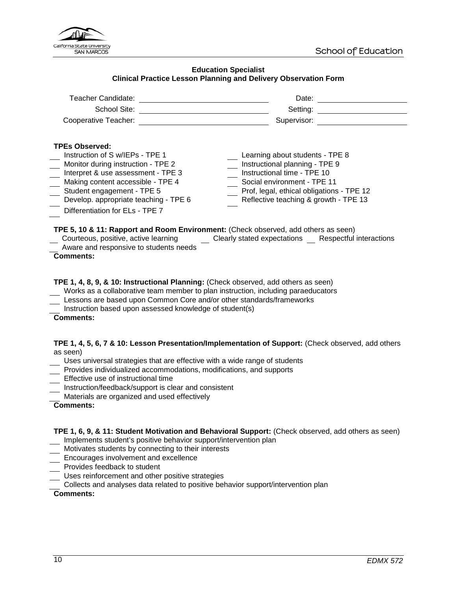

#### **Education Specialist Clinical Practice Lesson Planning and Delivery Observation Form**

<span id="page-9-0"></span>

| Teacher Candidate:                                                                                                                                                                                                                                                                                                                                                        | Date:                                                                                                                                                                                                                 |
|---------------------------------------------------------------------------------------------------------------------------------------------------------------------------------------------------------------------------------------------------------------------------------------------------------------------------------------------------------------------------|-----------------------------------------------------------------------------------------------------------------------------------------------------------------------------------------------------------------------|
| School Site:                                                                                                                                                                                                                                                                                                                                                              | Setting:                                                                                                                                                                                                              |
| Cooperative Teacher:                                                                                                                                                                                                                                                                                                                                                      | Supervisor:                                                                                                                                                                                                           |
| <b>TPEs Observed:</b><br>Instruction of S w/IEPs - TPE 1<br>Monitor during instruction - TPE 2<br>Interpret & use assessment - TPE 3<br>Making content accessible - TPE 4<br>Student engagement - TPE 5<br>Develop. appropriate teaching - TPE 6<br>Differentiation for ELs - TPE 7<br>TPE 5, 10 & 11: Rapport and Room Environment: (Check observed, add others as seen) | Learning about students - TPE 8<br>Instructional planning - TPE 9<br>Instructional time - TPE 10<br>Social environment - TPE 11<br>Prof, legal, ethical obligations - TPE 12<br>Reflective teaching & growth - TPE 13 |
| Courteous, positive, active learning Clearly stated expectations Respectful interactions                                                                                                                                                                                                                                                                                  |                                                                                                                                                                                                                       |
| Aware and responsive to students needs                                                                                                                                                                                                                                                                                                                                    |                                                                                                                                                                                                                       |
| <b>Comments:</b><br>TPE 1, 4, 8, 9, & 10: Instructional Planning: (Check observed, add others as seen)<br>Works as a collaborative team member to plan instruction, including paraeducators<br>Lessons are based upon Common Core and/or other standards/frameworks<br>Instruction based upon assessed knowledge of student(s)<br><b>Comments:</b>                        |                                                                                                                                                                                                                       |

#### **TPE 1, 4, 5, 6, 7 & 10: Lesson Presentation/Implementation of Support:** (Check observed, add others as seen)

- Uses universal strategies that are effective with a wide range of students
- Provides individualized accommodations, modifications, and supports
- Effective use of instructional time
- Instruction/feedback/support is clear and consistent
- Materials are organized and used effectively

#### **Comments:**

**TPE 1, 6, 9, & 11: Student Motivation and Behavioral Support:** (Check observed, add others as seen) Implements student's positive behavior support/intervention plan

- Motivates students by connecting to their interests
- Encourages involvement and excellence
- Provides feedback to student
- Uses reinforcement and other positive strategies
- Collects and analyses data related to positive behavior support/intervention plan

#### **Comments:**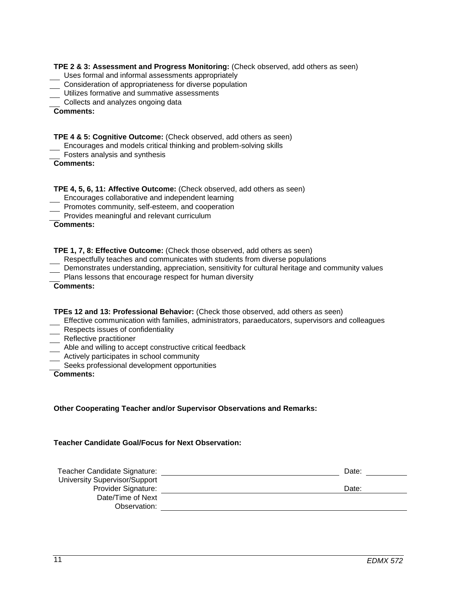#### **TPE 2 & 3: Assessment and Progress Monitoring:** (Check observed, add others as seen)

- Uses formal and informal assessments appropriately
- **Consideration of appropriateness for diverse population**
- Utilizes formative and summative assessments
- **Collects and analyzes ongoing data**

**Comments:**

# **TPE 4 & 5: Cognitive Outcome:** (Check observed, add others as seen)

- Encourages and models critical thinking and problem-solving skills
- Fosters analysis and synthesis

```
Comments:
```
# **TPE 4, 5, 6, 11: Affective Outcome:** (Check observed, add others as seen)

- Encourages collaborative and independent learning
- **Promotes community, self-esteem, and cooperation**
- Provides meaningful and relevant curriculum

**Comments:**

### **TPE 1, 7, 8: Effective Outcome:** (Check those observed, add others as seen)

- Respectfully teaches and communicates with students from diverse populations
- Demonstrates understanding, appreciation, sensitivity for cultural heritage and community values
- Plans lessons that encourage respect for human diversity

| <b>Comments:</b> |
|------------------|
|------------------|

# **TPEs 12 and 13: Professional Behavior:** (Check those observed, add others as seen)

- Effective communication with families, administrators, paraeducators, supervisors and colleagues
- **Respects issues of confidentiality**
- $\overline{\phantom{a}}$  Reflective practitioner
- Able and willing to accept constructive critical feedback
- **EXTEND Actively participates in school community**
- Seeks professional development opportunities

# **Comments:**

# **Other Cooperating Teacher and/or Supervisor Observations and Remarks:**

#### **Teacher Candidate Goal/Focus for Next Observation:**

| Teacher Candidate Signature:         | Date: |
|--------------------------------------|-------|
| <b>University Supervisor/Support</b> |       |
| Provider Signature:                  | Date: |
| Date/Time of Next                    |       |
| Observation:                         |       |
|                                      |       |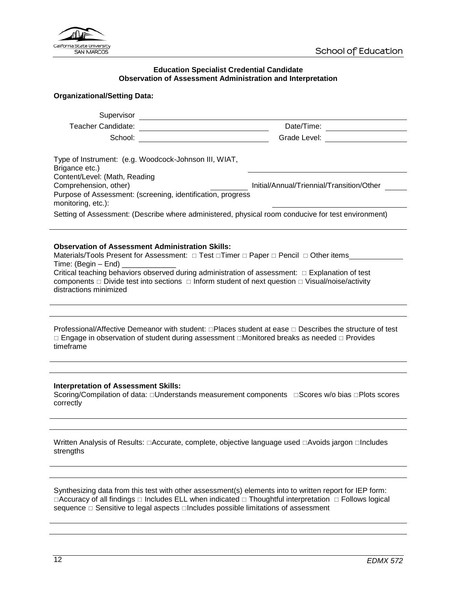

#### **Education Specialist Credential Candidate Observation of Assessment Administration and Interpretation**

# <span id="page-11-0"></span>**Organizational/Setting Data:**

| Supervisor<br><u> Communication</u>                                                                                                                                                                                                                                                                                                                                                                   |                                                                                                                                                                                                                                |
|-------------------------------------------------------------------------------------------------------------------------------------------------------------------------------------------------------------------------------------------------------------------------------------------------------------------------------------------------------------------------------------------------------|--------------------------------------------------------------------------------------------------------------------------------------------------------------------------------------------------------------------------------|
|                                                                                                                                                                                                                                                                                                                                                                                                       |                                                                                                                                                                                                                                |
|                                                                                                                                                                                                                                                                                                                                                                                                       | Grade Level: The Capacity of the Capacity of the Capacity of the Capacity of the Capacity of the Capacity of the Capacity of the Capacity of the Capacity of the Capacity of the Capacity of the Capacity of the Capacity of t |
| Type of Instrument: (e.g. Woodcock-Johnson III, WIAT,<br>Brigance etc.)<br>Content/Level: (Math, Reading<br>Comprehension, other)<br>Purpose of Assessment: (screening, identification, progress<br>monitoring, etc.):                                                                                                                                                                                | Initial/Annual/Triennial/Transition/Other                                                                                                                                                                                      |
| Setting of Assessment: (Describe where administered, physical room conducive for test environment)                                                                                                                                                                                                                                                                                                    |                                                                                                                                                                                                                                |
| <b>Observation of Assessment Administration Skills:</b><br>Materials/Tools Present for Assessment: □ Test □ Timer □ Paper □ Pencil □ Other items<br>Critical teaching behaviors observed during administration of assessment: $\Box$ Explanation of test<br>components $\Box$ Divide test into sections $\Box$ Inform student of next question $\Box$ Visual/noise/activity<br>distractions minimized |                                                                                                                                                                                                                                |
| Professional/Affective Demeanor with student: □Places student at ease □ Describes the structure of test<br>□ Engage in observation of student during assessment □Monitored breaks as needed □ Provides<br>timeframe                                                                                                                                                                                   |                                                                                                                                                                                                                                |
|                                                                                                                                                                                                                                                                                                                                                                                                       |                                                                                                                                                                                                                                |
| <b>Interpretation of Assessment Skills:</b><br>Scoring/Compilation of data: □Understands measurement components □Scores w/o bias □Plots scores<br>correctly                                                                                                                                                                                                                                           |                                                                                                                                                                                                                                |
|                                                                                                                                                                                                                                                                                                                                                                                                       |                                                                                                                                                                                                                                |
| Written Analysis of Results: □Accurate, complete, objective language used □Avoids jargon □Includes<br>strengths                                                                                                                                                                                                                                                                                       |                                                                                                                                                                                                                                |
|                                                                                                                                                                                                                                                                                                                                                                                                       |                                                                                                                                                                                                                                |

Synthesizing data from this test with other assessment(s) elements into to written report for IEP form:  $\Box$ Accuracy of all findings  $\Box$  Includes ELL when indicated  $\Box$  Thoughtful interpretation  $\Box$  Follows logical sequence  $\Box$  Sensitive to legal aspects  $\Box$  Includes possible limitations of assessment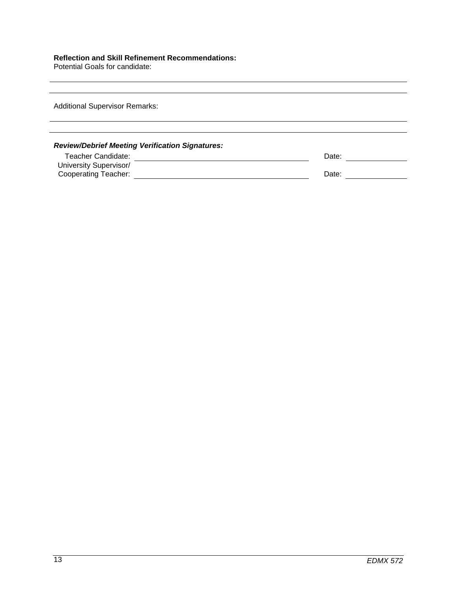### **Reflection and Skill Refinement Recommendations:**

Potential Goals for candidate:

Additional Supervisor Remarks:

# *Review/Debrief Meeting Verification Signatures:*

| Teacher Candidate:     | Date: |  |
|------------------------|-------|--|
| University Supervisor/ |       |  |
| Cooperating Teacher:   | Date: |  |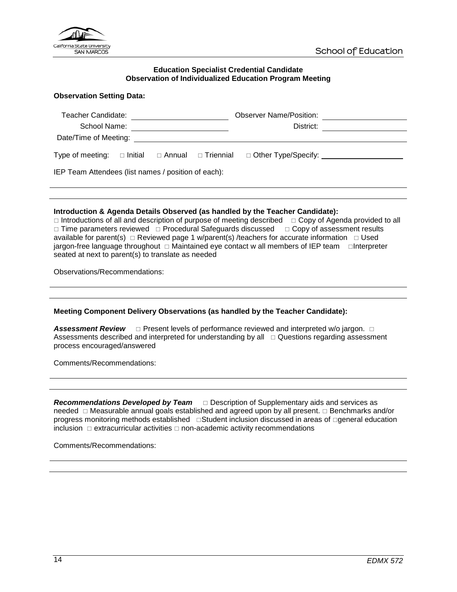

#### **Education Specialist Credential Candidate Observation of Individualized Education Program Meeting**

#### <span id="page-13-0"></span>**Observation Setting Data:**

| Teacher Candidate:                                  |  |  | <b>Observer Name/Position:</b> |           |                                                                                       |  |
|-----------------------------------------------------|--|--|--------------------------------|-----------|---------------------------------------------------------------------------------------|--|
| School Name:                                        |  |  |                                | District: |                                                                                       |  |
| Date/Time of Meeting:                               |  |  |                                |           |                                                                                       |  |
| Type of meeting:                                    |  |  | □ Initial □ Annual □ Triennial |           | $\Box$ Other Type/Specify: $\_\_\_\_\_\_\_\_\_\_\_\_\_\_\_\_\_\_\_\_\_\_\_\_\_\_\_\_$ |  |
| IEP Team Attendees (list names / position of each): |  |  |                                |           |                                                                                       |  |

#### **Introduction & Agenda Details Observed (as handled by the Teacher Candidate):**

 $\Box$  Introductions of all and description of purpose of meeting described  $\Box$  Copy of Agenda provided to all  $\Box$  Time parameters reviewed  $\Box$  Procedural Safeguards discussed  $\Box$  Copy of assessment results available for parent(s)  $\Box$  Reviewed page 1 w/parent(s) /teachers for accurate information  $\Box$  Used jargon-free language throughout  $\Box$  Maintained eye contact w all members of IEP team  $\Box$ Interpreter seated at next to parent(s) to translate as needed

Observations/Recommendations:

#### **Meeting Component Delivery Observations (as handled by the Teacher Candidate):**

Assessment Review  $\Box$  Present levels of performance reviewed and interpreted w/o jargon.  $\Box$ Assessments described and interpreted for understanding by all  $\Box$  Questions regarding assessment process encouraged/answered

Comments/Recommendations:

**Recommendations Developed by Team** □ Description of Supplementary aids and services as needed  $\Box$  Measurable annual goals established and agreed upon by all present.  $\Box$  Benchmarks and/or progress monitoring methods established Student inclusion discussed in areas of general education inclusion  $\Box$  extracurricular activities  $\Box$  non-academic activity recommendations

Comments/Recommendations: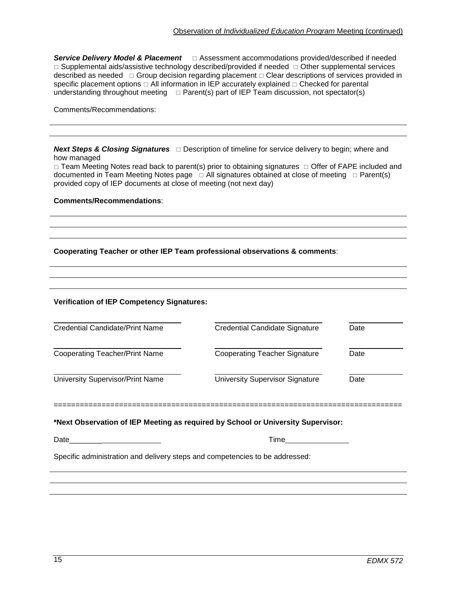**Service Delivery Model & Placement** □ Assessment accommodations provided/described if needed  $\Box$  Supplemental aids/assistive technology described/provided if needed  $\Box$  Other supplemental services described as needed  $\Box$  Group decision regarding placement  $\Box$  Clear descriptions of services provided in specific placement options  $\Box$  All information in IEP accurately explained  $\Box$  Checked for parental understanding throughout meeting  $\Box$  Parent(s) part of IEP Team discussion, not spectator(s)

Comments/Recommendations:

|             | <b>Next Steps &amp; Closing Signatures</b> □ Description of timeline for service delivery to begin; where and |
|-------------|---------------------------------------------------------------------------------------------------------------|
| how managed |                                                                                                               |

 $\Box$  Team Meeting Notes read back to parent(s) prior to obtaining signatures  $\Box$  Offer of FAPE included and documented in Team Meeting Notes page  $\Box$  All signatures obtained at close of meeting  $\Box$  Parent(s) provided copy of IEP documents at close of meeting (not next day)

#### **Comments/Recommendations**:

**Cooperating Teacher or other IEP Team professional observations & comments**:

| Credential Candidate/Print Name       | Credential Candidate Signature         | Date |  |
|---------------------------------------|----------------------------------------|------|--|
| <b>Cooperating Teacher/Print Name</b> | <b>Cooperating Teacher Signature</b>   | Date |  |
| University Supervisor/Print Name      | <b>University Supervisor Signature</b> | Date |  |

================================================================================

#### **\*Next Observation of IEP Meeting as required by School or University Supervisor:**

Date\_\_\_\_\_\_\_\_ Time

Specific administration and delivery steps and competencies to be addressed: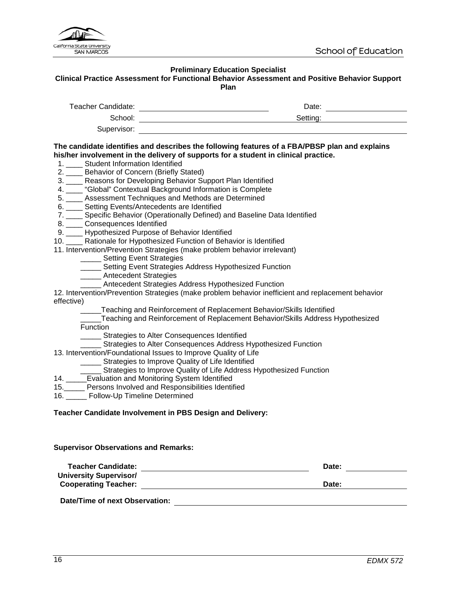

# **Preliminary Education Specialist**

# <span id="page-15-0"></span>**Clinical Practice Assessment for Functional Behavior Assessment and Positive Behavior Support Plan**

|                                                                                                                                                                                                                                                                                                                                                                                                                                                                                                                      | Setting:                                                                                                                                                                                                                            |  |  |  |  |
|----------------------------------------------------------------------------------------------------------------------------------------------------------------------------------------------------------------------------------------------------------------------------------------------------------------------------------------------------------------------------------------------------------------------------------------------------------------------------------------------------------------------|-------------------------------------------------------------------------------------------------------------------------------------------------------------------------------------------------------------------------------------|--|--|--|--|
|                                                                                                                                                                                                                                                                                                                                                                                                                                                                                                                      |                                                                                                                                                                                                                                     |  |  |  |  |
| his/her involvement in the delivery of supports for a student in clinical practice.<br>1. ____ Student Information Identified<br>2. ____ Behavior of Concern (Briefly Stated)<br>3. ___ Reasons for Developing Behavior Support Plan Identified<br>4. ____ "Global" Contextual Background Information is Complete<br>5. ____ Assessment Techniques and Methods are Determined<br>6. ____ Setting Events/Antecedents are Identified<br>7. ____ Specific Behavior (Operationally Defined) and Baseline Data Identified | The candidate identifies and describes the following features of a FBA/PBSP plan and explains                                                                                                                                       |  |  |  |  |
| 8. _____ Consequences Identified<br>9. ____ Hypothesized Purpose of Behavior Identified                                                                                                                                                                                                                                                                                                                                                                                                                              |                                                                                                                                                                                                                                     |  |  |  |  |
| 10. ____ Rationale for Hypothesized Function of Behavior is Identified                                                                                                                                                                                                                                                                                                                                                                                                                                               |                                                                                                                                                                                                                                     |  |  |  |  |
| 11. Intervention/Prevention Strategies (make problem behavior irrelevant)                                                                                                                                                                                                                                                                                                                                                                                                                                            |                                                                                                                                                                                                                                     |  |  |  |  |
| _____ Setting Event Strategies                                                                                                                                                                                                                                                                                                                                                                                                                                                                                       |                                                                                                                                                                                                                                     |  |  |  |  |
| _____ Setting Event Strategies Address Hypothesized Function                                                                                                                                                                                                                                                                                                                                                                                                                                                         |                                                                                                                                                                                                                                     |  |  |  |  |
| _____ Antecedent Strategies                                                                                                                                                                                                                                                                                                                                                                                                                                                                                          |                                                                                                                                                                                                                                     |  |  |  |  |
| __ Antecedent Strategies Address Hypothesized Function                                                                                                                                                                                                                                                                                                                                                                                                                                                               | 12. Intervention/Prevention Strategies (make problem behavior inefficient and replacement behavior                                                                                                                                  |  |  |  |  |
| effective)                                                                                                                                                                                                                                                                                                                                                                                                                                                                                                           |                                                                                                                                                                                                                                     |  |  |  |  |
| Function<br>_____ Strategies to Alter Consequences Identified                                                                                                                                                                                                                                                                                                                                                                                                                                                        | _____Teaching and Reinforcement of Replacement Behavior/Skills Identified<br>Teaching and Reinforcement of Replacement Behavior/Skills Address Hypothesized<br>_____ Strategies to Alter Consequences Address Hypothesized Function |  |  |  |  |
| 13. Intervention/Foundational Issues to Improve Quality of Life                                                                                                                                                                                                                                                                                                                                                                                                                                                      |                                                                                                                                                                                                                                     |  |  |  |  |
| _____ Strategies to Improve Quality of Life Identified                                                                                                                                                                                                                                                                                                                                                                                                                                                               | _____ Strategies to Improve Quality of Life Address Hypothesized Function                                                                                                                                                           |  |  |  |  |
| 14. _____Evaluation and Monitoring System Identified                                                                                                                                                                                                                                                                                                                                                                                                                                                                 |                                                                                                                                                                                                                                     |  |  |  |  |
| 15. Persons Involved and Responsibilities Identified<br>16. ______ Follow-Up Timeline Determined                                                                                                                                                                                                                                                                                                                                                                                                                     |                                                                                                                                                                                                                                     |  |  |  |  |
|                                                                                                                                                                                                                                                                                                                                                                                                                                                                                                                      |                                                                                                                                                                                                                                     |  |  |  |  |
| Teacher Candidate Involvement in PBS Design and Delivery:                                                                                                                                                                                                                                                                                                                                                                                                                                                            |                                                                                                                                                                                                                                     |  |  |  |  |
| <b>Supervisor Observations and Remarks:</b>                                                                                                                                                                                                                                                                                                                                                                                                                                                                          |                                                                                                                                                                                                                                     |  |  |  |  |
| <b>Teacher Candidate:</b>                                                                                                                                                                                                                                                                                                                                                                                                                                                                                            | Date:                                                                                                                                                                                                                               |  |  |  |  |
| <b>University Supervisor/</b>                                                                                                                                                                                                                                                                                                                                                                                                                                                                                        |                                                                                                                                                                                                                                     |  |  |  |  |
| <b>Cooperating Teacher:</b>                                                                                                                                                                                                                                                                                                                                                                                                                                                                                          | Date:                                                                                                                                                                                                                               |  |  |  |  |

**Date/Time of next Observation:**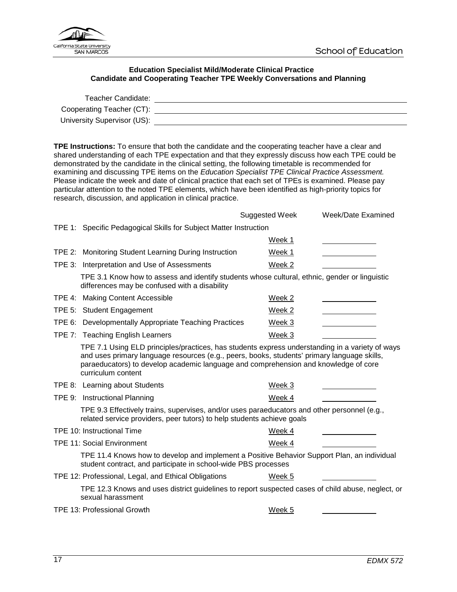

### **Education Specialist Mild/Moderate Clinical Practice Candidate and Cooperating Teacher TPE Weekly Conversations and Planning**

<span id="page-16-0"></span>

| Teacher Candidate:          |  |
|-----------------------------|--|
| Cooperating Teacher (CT):   |  |
| University Supervisor (US): |  |

**TPE Instructions:** To ensure that both the candidate and the cooperating teacher have a clear and shared understanding of each TPE expectation and that they expressly discuss how each TPE could be demonstrated by the candidate in the clinical setting, the following timetable is recommended for examining and discussing TPE items on the *Education Specialist TPE Clinical Practice Assessment.*  Please indicate the week and date of clinical practice that each set of TPEs is examined. Please pay particular attention to the noted TPE elements, which have been identified as high-priority topics for research, discussion, and application in clinical practice.

|                                                                                                                                                                        |                                                                                                                                                                                                                                                                                                             | Suggested Week | Week/Date Examined |
|------------------------------------------------------------------------------------------------------------------------------------------------------------------------|-------------------------------------------------------------------------------------------------------------------------------------------------------------------------------------------------------------------------------------------------------------------------------------------------------------|----------------|--------------------|
| TPE 1: Specific Pedagogical Skills for Subject Matter Instruction                                                                                                      |                                                                                                                                                                                                                                                                                                             |                |                    |
|                                                                                                                                                                        |                                                                                                                                                                                                                                                                                                             | Week 1         |                    |
|                                                                                                                                                                        | TPE 2: Monitoring Student Learning During Instruction                                                                                                                                                                                                                                                       | Week 1         |                    |
|                                                                                                                                                                        | TPE 3: Interpretation and Use of Assessments                                                                                                                                                                                                                                                                | Week 2         |                    |
|                                                                                                                                                                        | TPE 3.1 Know how to assess and identify students whose cultural, ethnic, gender or linguistic<br>differences may be confused with a disability                                                                                                                                                              |                |                    |
|                                                                                                                                                                        | TPE 4: Making Content Accessible                                                                                                                                                                                                                                                                            | Week 2         |                    |
|                                                                                                                                                                        | TPE 5: Student Engagement                                                                                                                                                                                                                                                                                   | Week 2         |                    |
|                                                                                                                                                                        | TPE 6: Developmentally Appropriate Teaching Practices                                                                                                                                                                                                                                                       | Week 3         |                    |
|                                                                                                                                                                        | TPE 7: Teaching English Learners                                                                                                                                                                                                                                                                            | Week 3         |                    |
|                                                                                                                                                                        | TPE 7.1 Using ELD principles/practices, has students express understanding in a variety of ways<br>and uses primary language resources (e.g., peers, books, students' primary language skills,<br>paraeducators) to develop academic language and comprehension and knowledge of core<br>curriculum content |                |                    |
|                                                                                                                                                                        | TPE 8: Learning about Students                                                                                                                                                                                                                                                                              | Week 3         |                    |
|                                                                                                                                                                        | TPE 9: Instructional Planning                                                                                                                                                                                                                                                                               | Week 4         |                    |
| TPE 9.3 Effectively trains, supervises, and/or uses paraeducators and other personnel (e.g.,<br>related service providers, peer tutors) to help students achieve goals |                                                                                                                                                                                                                                                                                                             |                |                    |
|                                                                                                                                                                        | TPE 10: Instructional Time                                                                                                                                                                                                                                                                                  | Week 4         |                    |
|                                                                                                                                                                        | <b>TPE 11: Social Environment</b>                                                                                                                                                                                                                                                                           | Week 4         |                    |
|                                                                                                                                                                        | TPE 11.4 Knows how to develop and implement a Positive Behavior Support Plan, an individual<br>student contract, and participate in school-wide PBS processes                                                                                                                                               |                |                    |
|                                                                                                                                                                        | TPE 12: Professional, Legal, and Ethical Obligations                                                                                                                                                                                                                                                        | Week 5         |                    |
|                                                                                                                                                                        | TPE 12.3 Knows and uses district guidelines to report suspected cases of child abuse, neglect, or<br>sexual harassment                                                                                                                                                                                      |                |                    |
|                                                                                                                                                                        | <b>TPE 13: Professional Growth</b>                                                                                                                                                                                                                                                                          | Week 5         |                    |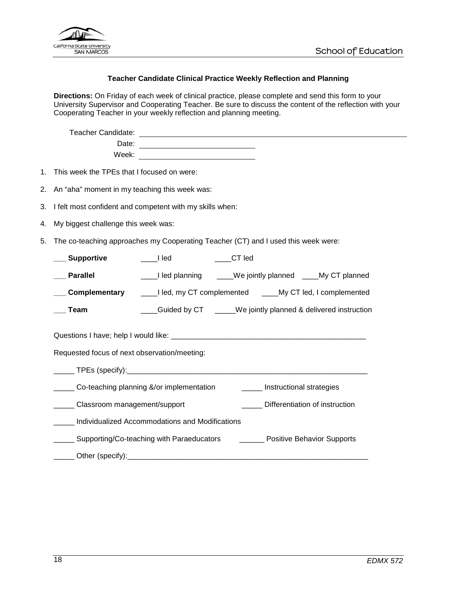

## **Teacher Candidate Clinical Practice Weekly Reflection and Planning**

<span id="page-17-0"></span>**Directions:** On Friday of each week of clinical practice, please complete and send this form to your University Supervisor and Cooperating Teacher. Be sure to discuss the content of the reflection with your Cooperating Teacher in your weekly reflection and planning meeting.

| Teacher Candidate: |  |
|--------------------|--|
| Date:              |  |
| Week:              |  |

- 1. This week the TPEs that I focused on were:
- 2. An "aha" moment in my teaching this week was:
- 3. I felt most confident and competent with my skills when:
- 4. My biggest challenge this week was:
- 5. The co-teaching approaches my Cooperating Teacher (CT) and I used this week were:

| <b>Supportive</b>                                                                | I led                                                  | CT led                                                        |  |  |
|----------------------------------------------------------------------------------|--------------------------------------------------------|---------------------------------------------------------------|--|--|
| <b>Parallel</b>                                                                  |                                                        | ____I led planning _____We jointly planned ____My CT planned  |  |  |
| Complementary                                                                    | Led, my CT complemented _____My CT led, I complemented |                                                               |  |  |
| Team                                                                             |                                                        | _Guided by CT _____We jointly planned & delivered instruction |  |  |
|                                                                                  |                                                        |                                                               |  |  |
| Requested focus of next observation/meeting:                                     |                                                        |                                                               |  |  |
|                                                                                  |                                                        |                                                               |  |  |
| Co-teaching planning &/or implementation<br>Instructional strategies             |                                                        |                                                               |  |  |
| Classroom management/support                                                     |                                                        | Differentiation of instruction                                |  |  |
| Individualized Accommodations and Modifications                                  |                                                        |                                                               |  |  |
| Supporting/Co-teaching with Paraeducators ___________ Positive Behavior Supports |                                                        |                                                               |  |  |
|                                                                                  |                                                        |                                                               |  |  |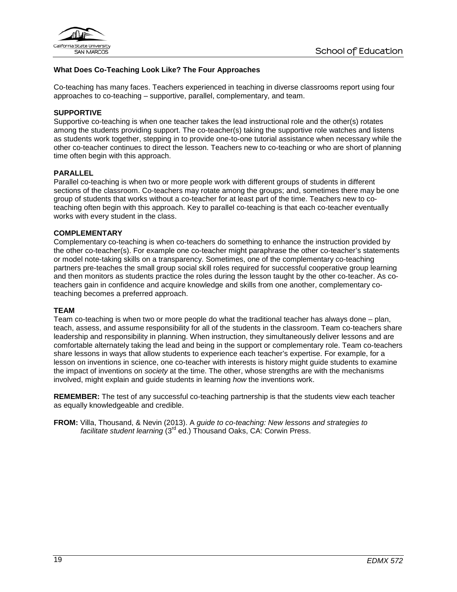

# **What Does Co-Teaching Look Like? The Four Approaches**

Co-teaching has many faces. Teachers experienced in teaching in diverse classrooms report using four approaches to co-teaching – supportive, parallel, complementary, and team.

# **SUPPORTIVE**

Supportive co-teaching is when one teacher takes the lead instructional role and the other(s) rotates among the students providing support. The co-teacher(s) taking the supportive role watches and listens as students work together, stepping in to provide one-to-one tutorial assistance when necessary while the other co-teacher continues to direct the lesson. Teachers new to co-teaching or who are short of planning time often begin with this approach.

#### **PARALLEL**

Parallel co-teaching is when two or more people work with different groups of students in different sections of the classroom. Co-teachers may rotate among the groups; and, sometimes there may be one group of students that works without a co-teacher for at least part of the time. Teachers new to coteaching often begin with this approach. Key to parallel co-teaching is that each co-teacher eventually works with every student in the class.

#### **COMPLEMENTARY**

Complementary co-teaching is when co-teachers do something to enhance the instruction provided by the other co-teacher(s). For example one co-teacher might paraphrase the other co-teacher's statements or model note-taking skills on a transparency. Sometimes, one of the complementary co-teaching partners pre-teaches the small group social skill roles required for successful cooperative group learning and then monitors as students practice the roles during the lesson taught by the other co-teacher. As coteachers gain in confidence and acquire knowledge and skills from one another, complementary coteaching becomes a preferred approach.

#### **TEAM**

Team co-teaching is when two or more people do what the traditional teacher has always done – plan, teach, assess, and assume responsibility for all of the students in the classroom. Team co-teachers share leadership and responsibility in planning. When instruction, they simultaneously deliver lessons and are comfortable alternately taking the lead and being in the support or complementary role. Team co-teachers share lessons in ways that allow students to experience each teacher's expertise. For example, for a lesson on inventions in science, one co-teacher with interests is history might guide students to examine the impact of inventions on *society* at the time. The other, whose strengths are with the mechanisms involved, might explain and guide students in learning *how* the inventions work.

**REMEMBER:** The test of any successful co-teaching partnership is that the students view each teacher as equally knowledgeable and credible.

**FROM:** Villa, Thousand, & Nevin (2013). A *guide to co-teaching: New lessons and strategies to*  facilitate student learning (3<sup>rd</sup> ed.) Thousand Oaks, CA: Corwin Press.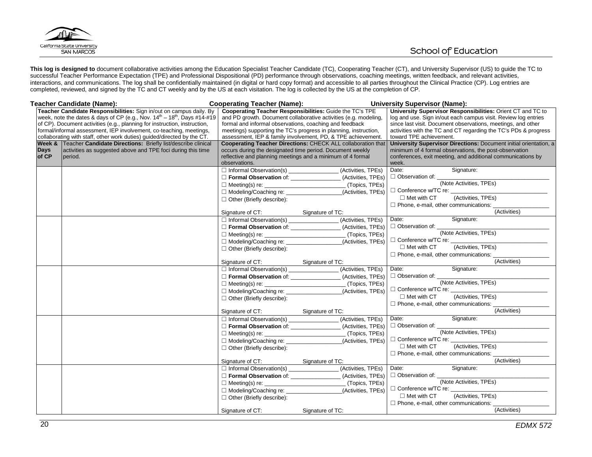

**This log is designed to** document collaborative activities among the Education Specialist Teacher Candidate (TC), Cooperating Teacher (CT), and University Supervisor (US) to guide the TC to successful Teacher Performance Expectation (TPE) and Professional Dispositional (PD) performance through observations, coaching meetings, written feedback, and relevant activities, interactions, and communications. The log shall be confidentially maintained (in digital or hard copy format) and accessible to all parties throughout the Clinical Practice (CP). Log entries are completed, reviewed, and signed by the TC and CT weekly and by the US at each visitation. The log is collected by the US at the completion of CP.

|                      | Teacher Candidate (Name):                                                          | <b>Cooperating Teacher (Name):</b>                      |                                                                                           | <b>University Supervisor (Name):</b>               |                                                                   |
|----------------------|------------------------------------------------------------------------------------|---------------------------------------------------------|-------------------------------------------------------------------------------------------|----------------------------------------------------|-------------------------------------------------------------------|
|                      | Teacher Candidate Responsibilities: Sign in/out on campus daily. By                |                                                         | Cooperating Teacher Responsibilities: Guide the TC's TPE                                  |                                                    | University Supervisor Responsibilities: Orient CT and TC to       |
|                      | week, note the dates & days of CP (e.g., Nov. $14^{th}$ – $18^{th}$ , Days #14-#19 |                                                         | and PD growth. Document collaborative activities (e.g. modeling,                          |                                                    | log and use. Sign in/out each campus visit. Review log entries    |
|                      | of CP). Document activities (e.g., planning for instruction, instruction,          | formal and informal observations, coaching and feedback |                                                                                           |                                                    | since last visit. Document observations, meetings, and other      |
|                      | formal/informal assessment, IEP involvement, co-teaching, meetings,                |                                                         | meetings) supporting the TC's progress in planning, instruction,                          |                                                    | activities with the TC and CT regarding the TC's PDs & progress   |
|                      | collaborating with staff, other work duties) guided/directed by the CT.            |                                                         | assessment, IEP & family involvement, PD, & TPE achievement.                              | toward TPE achievement.                            |                                                                   |
|                      | Week & Teacher Candidate Directions: Briefly list/describe clinical                |                                                         | <b>Cooperating Teacher Directions: CHECK ALL collaboration that</b>                       |                                                    | University Supervisor Directions: Document initial orientation, a |
| <b>Days</b><br>of CP | activities as suggested above and TPE foci during this time                        |                                                         | occurs during the designated time period. Document weekly                                 |                                                    | minimum of 4 formal observations, the post-observation            |
|                      | period.                                                                            | observations.                                           | reflective and planning meetings and a minimum of 4 formal                                | week.                                              | conferences, exit meeting, and additional communications by       |
|                      |                                                                                    |                                                         | □ Informal Observation(s) _______________________(Activities, TPEs)                       | Date:                                              | Signature:                                                        |
|                      |                                                                                    |                                                         | Formal Observation of: ________________(Activities, TPEs)                                 |                                                    |                                                                   |
|                      |                                                                                    |                                                         |                                                                                           | □ Observation of: <u>(Note Activities, TPEs)</u>   |                                                                   |
|                      |                                                                                    |                                                         |                                                                                           | □ Conference w/TC re: ________                     |                                                                   |
|                      |                                                                                    |                                                         | □ Modeling/Coaching re: __________________(Activities, TPEs)                              | $\Box$ Met with CT                                 | (Activities, TPEs)                                                |
|                      |                                                                                    | $\Box$ Other (Briefly describe):                        |                                                                                           | $\Box$ Phone, e-mail, other communications: $\Box$ |                                                                   |
|                      |                                                                                    | Signature of CT: Signature of TC:                       |                                                                                           |                                                    | (Activities)                                                      |
|                      |                                                                                    |                                                         | □ Informal Observation(s) ________________(Activities, TPEs)                              | Date:                                              | Signature:                                                        |
|                      |                                                                                    |                                                         | Formal Observation of: ________________(Activities, TPEs)                                 | Observation of: ________________                   |                                                                   |
|                      |                                                                                    |                                                         |                                                                                           |                                                    | (Note Activities, TPEs)                                           |
|                      |                                                                                    | $\Box$ Modeling/Coaching re:                            | (Activities, TPEs)                                                                        | □ Conference w/TC re:                              |                                                                   |
|                      |                                                                                    |                                                         |                                                                                           | $\Box$ Met with CT                                 | (Activities, TPEs)                                                |
|                      |                                                                                    | $\Box$ Other (Briefly describe):                        |                                                                                           | $\Box$ Phone, e-mail, other communications: $\Box$ |                                                                   |
|                      |                                                                                    | Signature of CT: Signature of TC:                       |                                                                                           |                                                    | (Activities)                                                      |
|                      |                                                                                    |                                                         | $\Box$ Informal Observation(s) ______________________ (Activities, TPEs)                  | Date:                                              | Signature:                                                        |
|                      |                                                                                    |                                                         | Formal Observation of: ________________(Activities, TPEs)                                 | □ Observation of:                                  |                                                                   |
|                      |                                                                                    |                                                         |                                                                                           |                                                    | (Note Activities, TPEs)                                           |
|                      |                                                                                    | Modeling/Coaching re:                                   | _(Activities, TPEs)                                                                       | □ Conference w/TC re:                              |                                                                   |
|                      |                                                                                    | □ Other (Briefly describe):                             |                                                                                           | $\Box$ Met with CT                                 | (Activities, TPEs)                                                |
|                      |                                                                                    |                                                         |                                                                                           | $\Box$ Phone, e-mail, other communications: $\Box$ |                                                                   |
|                      |                                                                                    | Signature of CT:                                        | Signature of TC:                                                                          |                                                    | (Activities)                                                      |
|                      |                                                                                    |                                                         | □ Informal Observation(s) _______________(Activities, TPEs)                               | Date:                                              | Signature:                                                        |
|                      |                                                                                    |                                                         | □ Formal Observation of: _______________(Activities, TPEs) $\Box$ Observation of: _______ |                                                    |                                                                   |
|                      |                                                                                    |                                                         |                                                                                           |                                                    | (Note Activities, TPEs)                                           |
|                      |                                                                                    |                                                         | (Activities, TPEs)                                                                        | □ Conference w/TC re:                              |                                                                   |
|                      |                                                                                    | $\Box$ Other (Briefly describe):                        |                                                                                           | $\Box$ Met with CT                                 | (Activities, TPEs)                                                |
|                      |                                                                                    |                                                         |                                                                                           | □ Phone, e-mail, other communications:             |                                                                   |
|                      |                                                                                    | Signature of CT:                                        | Signature of TC:                                                                          |                                                    | (Activities)                                                      |
|                      |                                                                                    |                                                         | □ Informal Observation(s) _________________(Activities, TPEs)                             | Date:                                              | Signature:                                                        |
|                      |                                                                                    |                                                         | □ Formal Observation of: _______________(Activities, TPEs)                                | □ Observation of: __                               |                                                                   |
|                      |                                                                                    | $\Box$ Meeting(s) re: $\Box$                            |                                                                                           |                                                    | (Note Activities, TPEs)                                           |
|                      |                                                                                    |                                                         | _(Activities, TPEs)                                                                       | □ Conference w/TC re:                              |                                                                   |
|                      |                                                                                    | $\Box$ Other (Briefly describe):                        |                                                                                           | $\Box$ Met with CT                                 | (Activities, TPEs)                                                |
|                      |                                                                                    |                                                         |                                                                                           | $\Box$ Phone, e-mail, other communications: $\Box$ |                                                                   |
|                      |                                                                                    | Signature of CT:                                        | Signature of TC:                                                                          |                                                    | (Activities)                                                      |